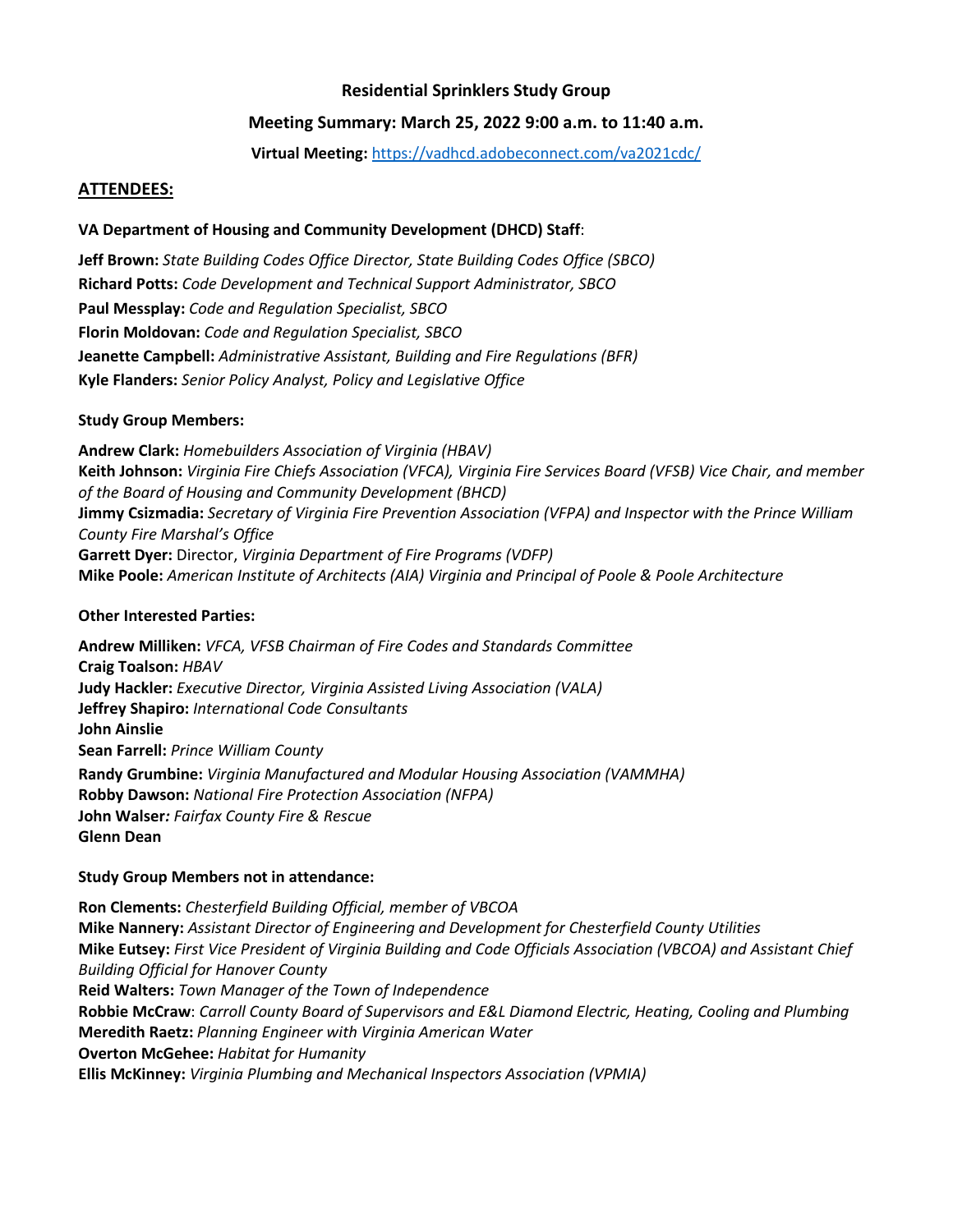## **Residential Sprinklers Study Group**

### **Meeting Summary: March 25, 2022 9:00 a.m. to 11:40 a.m.**

**Virtual Meeting:** <https://vadhcd.adobeconnect.com/va2021cdc/>

#### **ATTENDEES:**

#### **VA Department of Housing and Community Development (DHCD) Staff**:

**Jeff Brown:** *State Building Codes Office Director, State Building Codes Office (SBCO)* **Richard Potts:** *Code Development and Technical Support Administrator, SBCO* **Paul Messplay:** *Code and Regulation Specialist, SBCO* **Florin Moldovan:** *Code and Regulation Specialist, SBCO* **Jeanette Campbell:** *Administrative Assistant, Building and Fire Regulations (BFR)* **Kyle Flanders:** *Senior Policy Analyst, Policy and Legislative Office*

#### **Study Group Members:**

**Andrew Clark:** *Homebuilders Association of Virginia (HBAV)* **Keith Johnson:** *Virginia Fire Chiefs Association (VFCA), Virginia Fire Services Board (VFSB) Vice Chair, and member of the Board of Housing and Community Development (BHCD)* **Jimmy Csizmadia:** *Secretary of Virginia Fire Prevention Association (VFPA) and Inspector with the Prince William County Fire Marshal's Office* **Garrett Dyer:** Director, *Virginia Department of Fire Programs (VDFP)* **Mike Poole:** *American Institute of Architects (AIA) Virginia and Principal of Poole & Poole Architecture*

#### **Other Interested Parties:**

**Andrew Milliken:** *VFCA, VFSB Chairman of Fire Codes and Standards Committee* **Craig Toalson:** *HBAV* **Judy Hackler:** *Executive Director, Virginia Assisted Living Association (VALA)*  **Jeffrey Shapiro:** *International Code Consultants* **John Ainslie Sean Farrell:** *Prince William County* **Randy Grumbine:** *Virginia Manufactured and Modular Housing Association (VAMMHA)* **Robby Dawson:** *National Fire Protection Association (NFPA)* **John Walser***: Fairfax County Fire & Rescue* **Glenn Dean**

#### **Study Group Members not in attendance:**

**Ron Clements:** *Chesterfield Building Official, member of VBCOA* **Mike Nannery:** *Assistant Director of Engineering and Development for Chesterfield County Utilities* **Mike Eutsey:** *First Vice President of Virginia Building and Code Officials Association (VBCOA) and Assistant Chief Building Official for Hanover County* **Reid Walters:** *Town Manager of the Town of Independence* **Robbie McCraw**: *Carroll County Board of Supervisors and E&L Diamond Electric, Heating, Cooling and Plumbing* **Meredith Raetz:** *Planning Engineer with Virginia American Water* **Overton McGehee:** *Habitat for Humanity* **Ellis McKinney:** *Virginia Plumbing and Mechanical Inspectors Association (VPMIA)*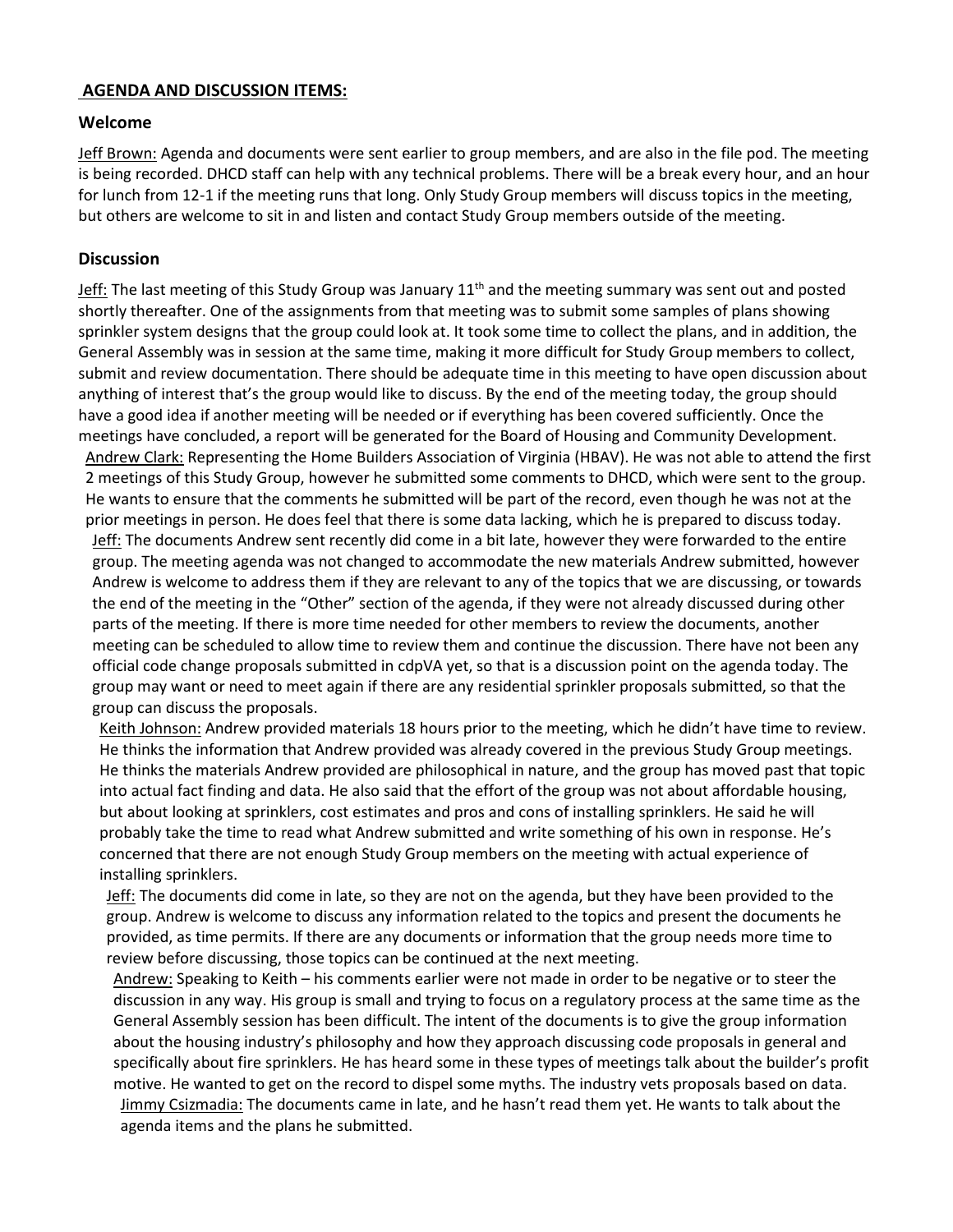#### **AGENDA AND DISCUSSION ITEMS:**

#### **Welcome**

Jeff Brown: Agenda and documents were sent earlier to group members, and are also in the file pod. The meeting is being recorded. DHCD staff can help with any technical problems. There will be a break every hour, and an hour for lunch from 12-1 if the meeting runs that long. Only Study Group members will discuss topics in the meeting, but others are welcome to sit in and listen and contact Study Group members outside of the meeting.

#### **Discussion**

Jeff: The last meeting of this Study Group was January  $11<sup>th</sup>$  and the meeting summary was sent out and posted shortly thereafter. One of the assignments from that meeting was to submit some samples of plans showing sprinkler system designs that the group could look at. It took some time to collect the plans, and in addition, the General Assembly was in session at the same time, making it more difficult for Study Group members to collect, submit and review documentation. There should be adequate time in this meeting to have open discussion about anything of interest that's the group would like to discuss. By the end of the meeting today, the group should have a good idea if another meeting will be needed or if everything has been covered sufficiently. Once the meetings have concluded, a report will be generated for the Board of Housing and Community Development. Andrew Clark: Representing the Home Builders Association of Virginia (HBAV). He was not able to attend the first 2 meetings of this Study Group, however he submitted some comments to DHCD, which were sent to the group. He wants to ensure that the comments he submitted will be part of the record, even though he was not at the prior meetings in person. He does feel that there is some data lacking, which he is prepared to discuss today.

Jeff: The documents Andrew sent recently did come in a bit late, however they were forwarded to the entire group. The meeting agenda was not changed to accommodate the new materials Andrew submitted, however Andrew is welcome to address them if they are relevant to any of the topics that we are discussing, or towards the end of the meeting in the "Other" section of the agenda, if they were not already discussed during other parts of the meeting. If there is more time needed for other members to review the documents, another meeting can be scheduled to allow time to review them and continue the discussion. There have not been any official code change proposals submitted in cdpVA yet, so that is a discussion point on the agenda today. The group may want or need to meet again if there are any residential sprinkler proposals submitted, so that the group can discuss the proposals.

Keith Johnson: Andrew provided materials 18 hours prior to the meeting, which he didn't have time to review. He thinks the information that Andrew provided was already covered in the previous Study Group meetings. He thinks the materials Andrew provided are philosophical in nature, and the group has moved past that topic into actual fact finding and data. He also said that the effort of the group was not about affordable housing, but about looking at sprinklers, cost estimates and pros and cons of installing sprinklers. He said he will probably take the time to read what Andrew submitted and write something of his own in response. He's concerned that there are not enough Study Group members on the meeting with actual experience of installing sprinklers.

Jeff: The documents did come in late, so they are not on the agenda, but they have been provided to the group. Andrew is welcome to discuss any information related to the topics and present the documents he provided, as time permits. If there are any documents or information that the group needs more time to review before discussing, those topics can be continued at the next meeting.

Andrew: Speaking to Keith – his comments earlier were not made in order to be negative or to steer the discussion in any way. His group is small and trying to focus on a regulatory process at the same time as the General Assembly session has been difficult. The intent of the documents is to give the group information about the housing industry's philosophy and how they approach discussing code proposals in general and specifically about fire sprinklers. He has heard some in these types of meetings talk about the builder's profit motive. He wanted to get on the record to dispel some myths. The industry vets proposals based on data. Jimmy Csizmadia: The documents came in late, and he hasn't read them yet. He wants to talk about the agenda items and the plans he submitted.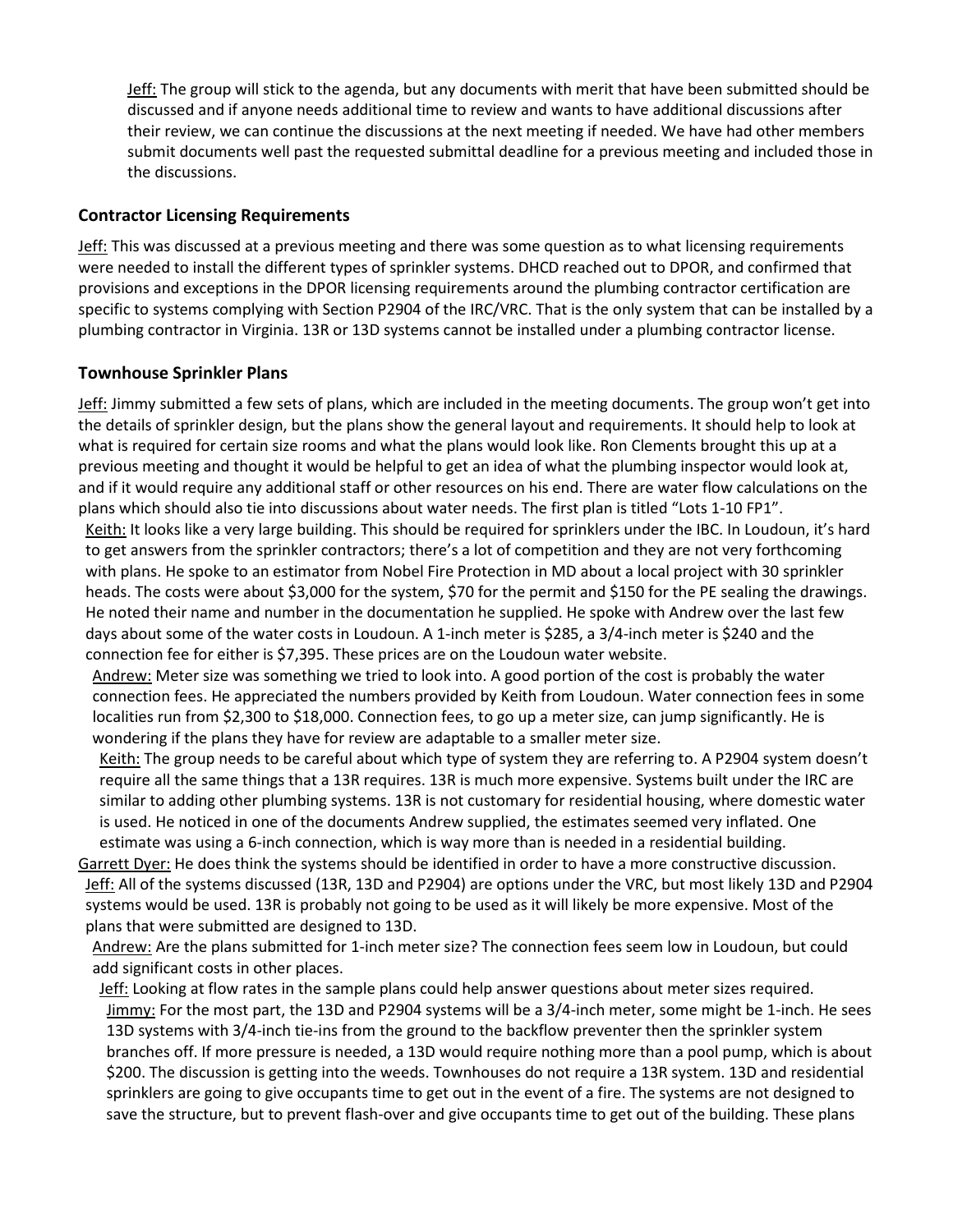Jeff: The group will stick to the agenda, but any documents with merit that have been submitted should be discussed and if anyone needs additional time to review and wants to have additional discussions after their review, we can continue the discussions at the next meeting if needed. We have had other members submit documents well past the requested submittal deadline for a previous meeting and included those in the discussions.

## **Contractor Licensing Requirements**

Jeff: This was discussed at a previous meeting and there was some question as to what licensing requirements were needed to install the different types of sprinkler systems. DHCD reached out to DPOR, and confirmed that provisions and exceptions in the DPOR licensing requirements around the plumbing contractor certification are specific to systems complying with Section P2904 of the IRC/VRC. That is the only system that can be installed by a plumbing contractor in Virginia. 13R or 13D systems cannot be installed under a plumbing contractor license.

# **Townhouse Sprinkler Plans**

Jeff: Jimmy submitted a few sets of plans, which are included in the meeting documents. The group won't get into the details of sprinkler design, but the plans show the general layout and requirements. It should help to look at what is required for certain size rooms and what the plans would look like. Ron Clements brought this up at a previous meeting and thought it would be helpful to get an idea of what the plumbing inspector would look at, and if it would require any additional staff or other resources on his end. There are water flow calculations on the plans which should also tie into discussions about water needs. The first plan is titled "Lots 1-10 FP1". Keith: It looks like a very large building. This should be required for sprinklers under the IBC. In Loudoun, it's hard to get answers from the sprinkler contractors; there's a lot of competition and they are not very forthcoming with plans. He spoke to an estimator from Nobel Fire Protection in MD about a local project with 30 sprinkler heads. The costs were about \$3,000 for the system, \$70 for the permit and \$150 for the PE sealing the drawings. He noted their name and number in the documentation he supplied. He spoke with Andrew over the last few days about some of the water costs in Loudoun. A 1-inch meter is \$285, a 3/4-inch meter is \$240 and the connection fee for either is \$7,395. These prices are on the Loudoun water website.

Andrew: Meter size was something we tried to look into. A good portion of the cost is probably the water connection fees. He appreciated the numbers provided by Keith from Loudoun. Water connection fees in some localities run from \$2,300 to \$18,000. Connection fees, to go up a meter size, can jump significantly. He is wondering if the plans they have for review are adaptable to a smaller meter size.

Keith: The group needs to be careful about which type of system they are referring to. A P2904 system doesn't require all the same things that a 13R requires. 13R is much more expensive. Systems built under the IRC are similar to adding other plumbing systems. 13R is not customary for residential housing, where domestic water is used. He noticed in one of the documents Andrew supplied, the estimates seemed very inflated. One estimate was using a 6-inch connection, which is way more than is needed in a residential building.

Garrett Dyer: He does think the systems should be identified in order to have a more constructive discussion. Jeff: All of the systems discussed (13R, 13D and P2904) are options under the VRC, but most likely 13D and P2904 systems would be used. 13R is probably not going to be used as it will likely be more expensive. Most of the plans that were submitted are designed to 13D.

Andrew: Are the plans submitted for 1-inch meter size? The connection fees seem low in Loudoun, but could add significant costs in other places.

Jeff: Looking at flow rates in the sample plans could help answer questions about meter sizes required. Jimmy: For the most part, the 13D and P2904 systems will be a 3/4-inch meter, some might be 1-inch. He sees 13D systems with 3/4-inch tie-ins from the ground to the backflow preventer then the sprinkler system branches off. If more pressure is needed, a 13D would require nothing more than a pool pump, which is about \$200. The discussion is getting into the weeds. Townhouses do not require a 13R system. 13D and residential sprinklers are going to give occupants time to get out in the event of a fire. The systems are not designed to save the structure, but to prevent flash-over and give occupants time to get out of the building. These plans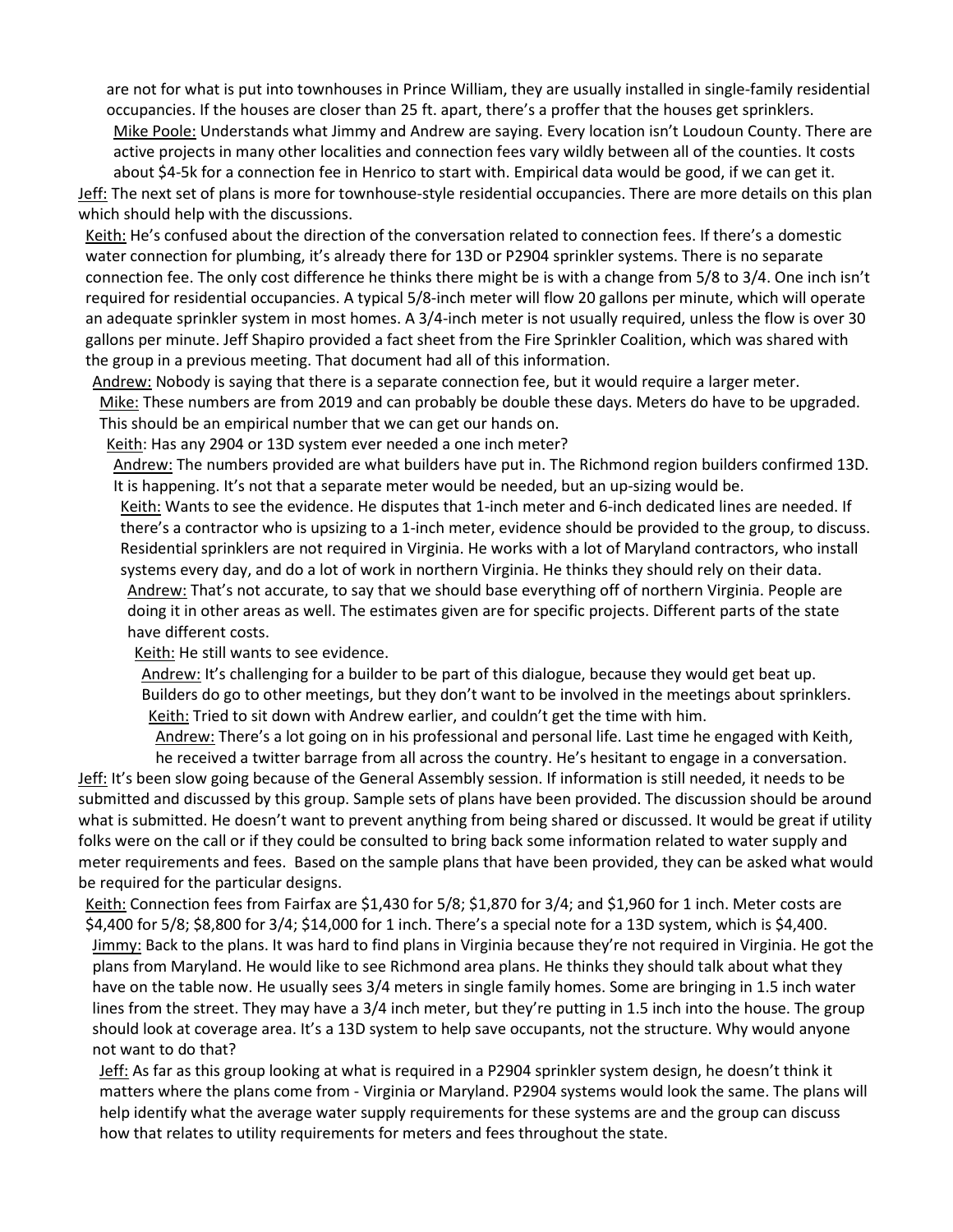are not for what is put into townhouses in Prince William, they are usually installed in single-family residential occupancies. If the houses are closer than 25 ft. apart, there's a proffer that the houses get sprinklers. Mike Poole: Understands what Jimmy and Andrew are saying. Every location isn't Loudoun County. There are active projects in many other localities and connection fees vary wildly between all of the counties. It costs about \$4-5k for a connection fee in Henrico to start with. Empirical data would be good, if we can get it.

Jeff: The next set of plans is more for townhouse-style residential occupancies. There are more details on this plan which should help with the discussions.

Keith: He's confused about the direction of the conversation related to connection fees. If there's a domestic water connection for plumbing, it's already there for 13D or P2904 sprinkler systems. There is no separate connection fee. The only cost difference he thinks there might be is with a change from 5/8 to 3/4. One inch isn't required for residential occupancies. A typical 5/8-inch meter will flow 20 gallons per minute, which will operate an adequate sprinkler system in most homes. A 3/4-inch meter is not usually required, unless the flow is over 30 gallons per minute. Jeff Shapiro provided a fact sheet from the Fire Sprinkler Coalition, which was shared with the group in a previous meeting. That document had all of this information.

Andrew: Nobody is saying that there is a separate connection fee, but it would require a larger meter. Mike: These numbers are from 2019 and can probably be double these days. Meters do have to be upgraded.

This should be an empirical number that we can get our hands on.

Keith: Has any 2904 or 13D system ever needed a one inch meter?

Andrew: The numbers provided are what builders have put in. The Richmond region builders confirmed 13D. It is happening. It's not that a separate meter would be needed, but an up-sizing would be.

Keith: Wants to see the evidence. He disputes that 1-inch meter and 6-inch dedicated lines are needed. If there's a contractor who is upsizing to a 1-inch meter, evidence should be provided to the group, to discuss. Residential sprinklers are not required in Virginia. He works with a lot of Maryland contractors, who install systems every day, and do a lot of work in northern Virginia. He thinks they should rely on their data. Andrew: That's not accurate, to say that we should base everything off of northern Virginia. People are doing it in other areas as well. The estimates given are for specific projects. Different parts of the state have different costs.

Keith: He still wants to see evidence.

Andrew: It's challenging for a builder to be part of this dialogue, because they would get beat up. Builders do go to other meetings, but they don't want to be involved in the meetings about sprinklers. Keith: Tried to sit down with Andrew earlier, and couldn't get the time with him.

Andrew: There's a lot going on in his professional and personal life. Last time he engaged with Keith,

he received a twitter barrage from all across the country. He's hesitant to engage in a conversation. Jeff: It's been slow going because of the General Assembly session. If information is still needed, it needs to be submitted and discussed by this group. Sample sets of plans have been provided. The discussion should be around what is submitted. He doesn't want to prevent anything from being shared or discussed. It would be great if utility folks were on the call or if they could be consulted to bring back some information related to water supply and meter requirements and fees. Based on the sample plans that have been provided, they can be asked what would be required for the particular designs.

Keith: Connection fees from Fairfax are \$1,430 for 5/8; \$1,870 for 3/4; and \$1,960 for 1 inch. Meter costs are \$4,400 for 5/8; \$8,800 for 3/4; \$14,000 for 1 inch. There's a special note for a 13D system, which is \$4,400.

Jimmy: Back to the plans. It was hard to find plans in Virginia because they're not required in Virginia. He got the plans from Maryland. He would like to see Richmond area plans. He thinks they should talk about what they have on the table now. He usually sees 3/4 meters in single family homes. Some are bringing in 1.5 inch water lines from the street. They may have a 3/4 inch meter, but they're putting in 1.5 inch into the house. The group should look at coverage area. It's a 13D system to help save occupants, not the structure. Why would anyone not want to do that?

Jeff: As far as this group looking at what is required in a P2904 sprinkler system design, he doesn't think it matters where the plans come from - Virginia or Maryland. P2904 systems would look the same. The plans will help identify what the average water supply requirements for these systems are and the group can discuss how that relates to utility requirements for meters and fees throughout the state.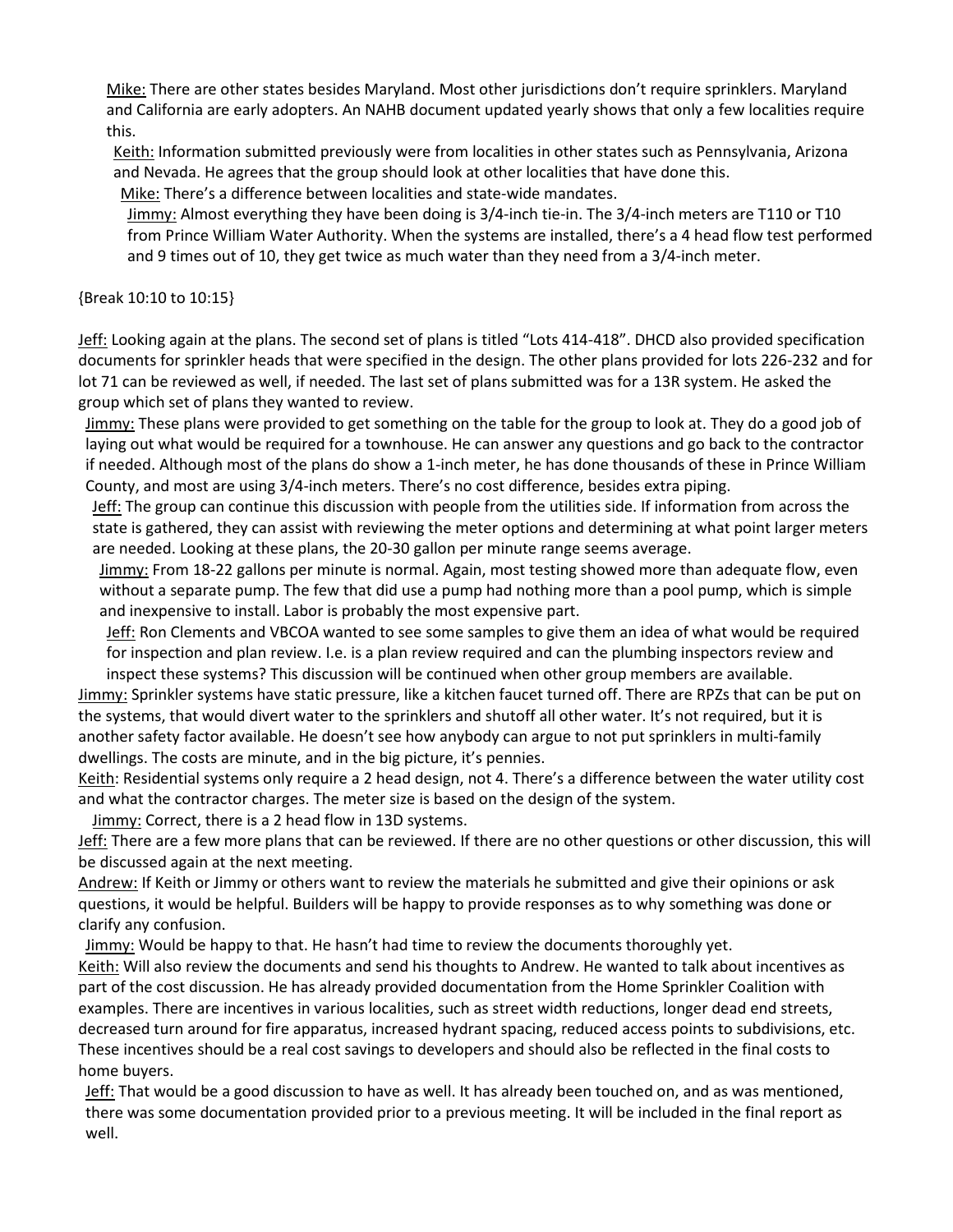Mike: There are other states besides Maryland. Most other jurisdictions don't require sprinklers. Maryland and California are early adopters. An NAHB document updated yearly shows that only a few localities require this.

Keith: Information submitted previously were from localities in other states such as Pennsylvania, Arizona and Nevada. He agrees that the group should look at other localities that have done this.

Mike: There's a difference between localities and state-wide mandates.

Jimmy: Almost everything they have been doing is 3/4-inch tie-in. The 3/4-inch meters are T110 or T10 from Prince William Water Authority. When the systems are installed, there's a 4 head flow test performed and 9 times out of 10, they get twice as much water than they need from a 3/4-inch meter.

{Break 10:10 to 10:15}

Jeff: Looking again at the plans. The second set of plans is titled "Lots 414-418". DHCD also provided specification documents for sprinkler heads that were specified in the design. The other plans provided for lots 226-232 and for lot 71 can be reviewed as well, if needed. The last set of plans submitted was for a 13R system. He asked the group which set of plans they wanted to review.

Jimmy: These plans were provided to get something on the table for the group to look at. They do a good job of laying out what would be required for a townhouse. He can answer any questions and go back to the contractor if needed. Although most of the plans do show a 1-inch meter, he has done thousands of these in Prince William County, and most are using 3/4-inch meters. There's no cost difference, besides extra piping.

Jeff: The group can continue this discussion with people from the utilities side. If information from across the state is gathered, they can assist with reviewing the meter options and determining at what point larger meters are needed. Looking at these plans, the 20-30 gallon per minute range seems average.

Jimmy: From 18-22 gallons per minute is normal. Again, most testing showed more than adequate flow, even without a separate pump. The few that did use a pump had nothing more than a pool pump, which is simple and inexpensive to install. Labor is probably the most expensive part.

Jeff: Ron Clements and VBCOA wanted to see some samples to give them an idea of what would be required for inspection and plan review. I.e. is a plan review required and can the plumbing inspectors review and inspect these systems? This discussion will be continued when other group members are available.

Jimmy: Sprinkler systems have static pressure, like a kitchen faucet turned off. There are RPZs that can be put on the systems, that would divert water to the sprinklers and shutoff all other water. It's not required, but it is another safety factor available. He doesn't see how anybody can argue to not put sprinklers in multi-family dwellings. The costs are minute, and in the big picture, it's pennies.

Keith: Residential systems only require a 2 head design, not 4. There's a difference between the water utility cost and what the contractor charges. The meter size is based on the design of the system.

Jimmy: Correct, there is a 2 head flow in 13D systems.

Jeff: There are a few more plans that can be reviewed. If there are no other questions or other discussion, this will be discussed again at the next meeting.

Andrew: If Keith or Jimmy or others want to review the materials he submitted and give their opinions or ask questions, it would be helpful. Builders will be happy to provide responses as to why something was done or clarify any confusion.

Jimmy: Would be happy to that. He hasn't had time to review the documents thoroughly yet.

Keith: Will also review the documents and send his thoughts to Andrew. He wanted to talk about incentives as part of the cost discussion. He has already provided documentation from the Home Sprinkler Coalition with examples. There are incentives in various localities, such as street width reductions, longer dead end streets, decreased turn around for fire apparatus, increased hydrant spacing, reduced access points to subdivisions, etc. These incentives should be a real cost savings to developers and should also be reflected in the final costs to home buyers.

Jeff: That would be a good discussion to have as well. It has already been touched on, and as was mentioned, there was some documentation provided prior to a previous meeting. It will be included in the final report as well.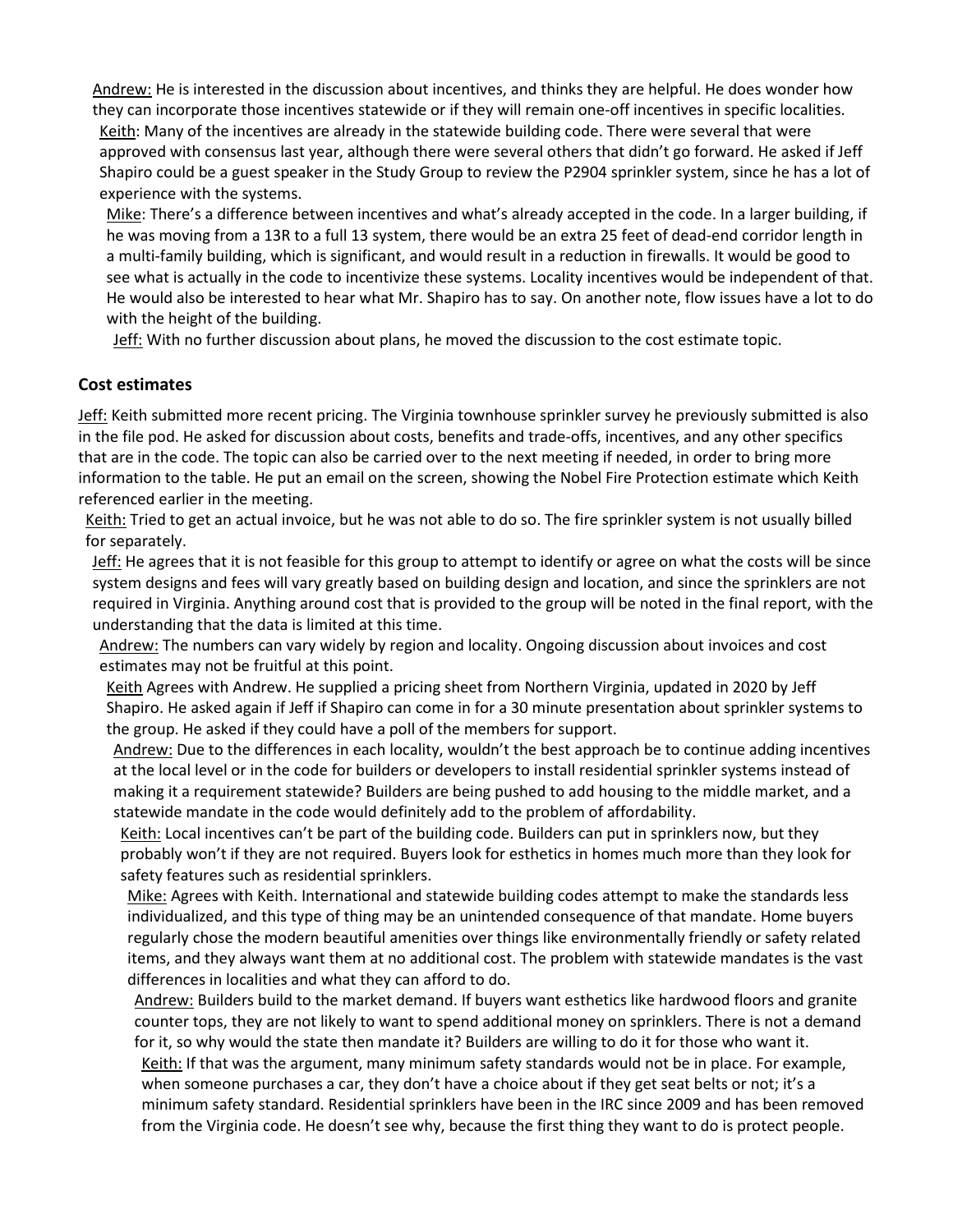Andrew: He is interested in the discussion about incentives, and thinks they are helpful. He does wonder how they can incorporate those incentives statewide or if they will remain one-off incentives in specific localities.

Keith: Many of the incentives are already in the statewide building code. There were several that were approved with consensus last year, although there were several others that didn't go forward. He asked if Jeff Shapiro could be a guest speaker in the Study Group to review the P2904 sprinkler system, since he has a lot of experience with the systems.

Mike: There's a difference between incentives and what's already accepted in the code. In a larger building, if he was moving from a 13R to a full 13 system, there would be an extra 25 feet of dead-end corridor length in a multi-family building, which is significant, and would result in a reduction in firewalls. It would be good to see what is actually in the code to incentivize these systems. Locality incentives would be independent of that. He would also be interested to hear what Mr. Shapiro has to say. On another note, flow issues have a lot to do with the height of the building.

Jeff: With no further discussion about plans, he moved the discussion to the cost estimate topic.

# **Cost estimates**

Jeff: Keith submitted more recent pricing. The Virginia townhouse sprinkler survey he previously submitted is also in the file pod. He asked for discussion about costs, benefits and trade-offs, incentives, and any other specifics that are in the code. The topic can also be carried over to the next meeting if needed, in order to bring more information to the table. He put an email on the screen, showing the Nobel Fire Protection estimate which Keith referenced earlier in the meeting.

Keith: Tried to get an actual invoice, but he was not able to do so. The fire sprinkler system is not usually billed for separately.

Jeff: He agrees that it is not feasible for this group to attempt to identify or agree on what the costs will be since system designs and fees will vary greatly based on building design and location, and since the sprinklers are not required in Virginia. Anything around cost that is provided to the group will be noted in the final report, with the understanding that the data is limited at this time.

Andrew: The numbers can vary widely by region and locality. Ongoing discussion about invoices and cost estimates may not be fruitful at this point.

Keith Agrees with Andrew. He supplied a pricing sheet from Northern Virginia, updated in 2020 by Jeff Shapiro. He asked again if Jeff if Shapiro can come in for a 30 minute presentation about sprinkler systems to the group. He asked if they could have a poll of the members for support.

Andrew: Due to the differences in each locality, wouldn't the best approach be to continue adding incentives at the local level or in the code for builders or developers to install residential sprinkler systems instead of making it a requirement statewide? Builders are being pushed to add housing to the middle market, and a statewide mandate in the code would definitely add to the problem of affordability.

Keith: Local incentives can't be part of the building code. Builders can put in sprinklers now, but they probably won't if they are not required. Buyers look for esthetics in homes much more than they look for safety features such as residential sprinklers.

Mike: Agrees with Keith. International and statewide building codes attempt to make the standards less individualized, and this type of thing may be an unintended consequence of that mandate. Home buyers regularly chose the modern beautiful amenities over things like environmentally friendly or safety related items, and they always want them at no additional cost. The problem with statewide mandates is the vast differences in localities and what they can afford to do.

Andrew: Builders build to the market demand. If buyers want esthetics like hardwood floors and granite counter tops, they are not likely to want to spend additional money on sprinklers. There is not a demand for it, so why would the state then mandate it? Builders are willing to do it for those who want it.

Keith: If that was the argument, many minimum safety standards would not be in place. For example, when someone purchases a car, they don't have a choice about if they get seat belts or not; it's a minimum safety standard. Residential sprinklers have been in the IRC since 2009 and has been removed from the Virginia code. He doesn't see why, because the first thing they want to do is protect people.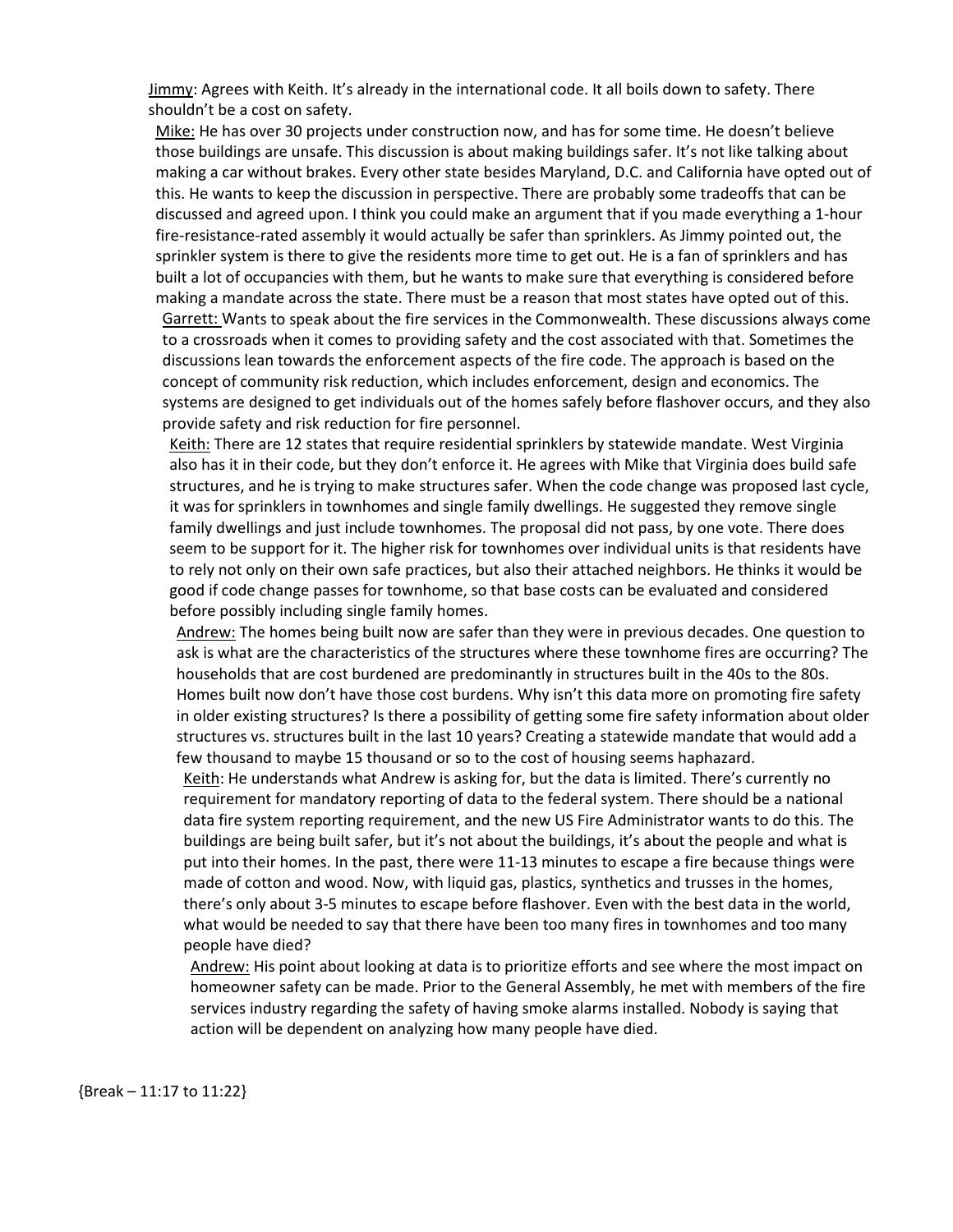Jimmy: Agrees with Keith. It's already in the international code. It all boils down to safety. There shouldn't be a cost on safety.

Mike: He has over 30 projects under construction now, and has for some time. He doesn't believe those buildings are unsafe. This discussion is about making buildings safer. It's not like talking about making a car without brakes. Every other state besides Maryland, D.C. and California have opted out of this. He wants to keep the discussion in perspective. There are probably some tradeoffs that can be discussed and agreed upon. I think you could make an argument that if you made everything a 1-hour fire-resistance-rated assembly it would actually be safer than sprinklers. As Jimmy pointed out, the sprinkler system is there to give the residents more time to get out. He is a fan of sprinklers and has built a lot of occupancies with them, but he wants to make sure that everything is considered before making a mandate across the state. There must be a reason that most states have opted out of this. Garrett: Wants to speak about the fire services in the Commonwealth. These discussions always come to a crossroads when it comes to providing safety and the cost associated with that. Sometimes the discussions lean towards the enforcement aspects of the fire code. The approach is based on the concept of community risk reduction, which includes enforcement, design and economics. The systems are designed to get individuals out of the homes safely before flashover occurs, and they also provide safety and risk reduction for fire personnel.

Keith: There are 12 states that require residential sprinklers by statewide mandate. West Virginia also has it in their code, but they don't enforce it. He agrees with Mike that Virginia does build safe structures, and he is trying to make structures safer. When the code change was proposed last cycle, it was for sprinklers in townhomes and single family dwellings. He suggested they remove single family dwellings and just include townhomes. The proposal did not pass, by one vote. There does seem to be support for it. The higher risk for townhomes over individual units is that residents have to rely not only on their own safe practices, but also their attached neighbors. He thinks it would be good if code change passes for townhome, so that base costs can be evaluated and considered before possibly including single family homes.

Andrew: The homes being built now are safer than they were in previous decades. One question to ask is what are the characteristics of the structures where these townhome fires are occurring? The households that are cost burdened are predominantly in structures built in the 40s to the 80s. Homes built now don't have those cost burdens. Why isn't this data more on promoting fire safety in older existing structures? Is there a possibility of getting some fire safety information about older structures vs. structures built in the last 10 years? Creating a statewide mandate that would add a few thousand to maybe 15 thousand or so to the cost of housing seems haphazard.

Keith: He understands what Andrew is asking for, but the data is limited. There's currently no requirement for mandatory reporting of data to the federal system. There should be a national data fire system reporting requirement, and the new US Fire Administrator wants to do this. The buildings are being built safer, but it's not about the buildings, it's about the people and what is put into their homes. In the past, there were 11-13 minutes to escape a fire because things were made of cotton and wood. Now, with liquid gas, plastics, synthetics and trusses in the homes, there's only about 3-5 minutes to escape before flashover. Even with the best data in the world, what would be needed to say that there have been too many fires in townhomes and too many people have died?

Andrew: His point about looking at data is to prioritize efforts and see where the most impact on homeowner safety can be made. Prior to the General Assembly, he met with members of the fire services industry regarding the safety of having smoke alarms installed. Nobody is saying that action will be dependent on analyzing how many people have died.